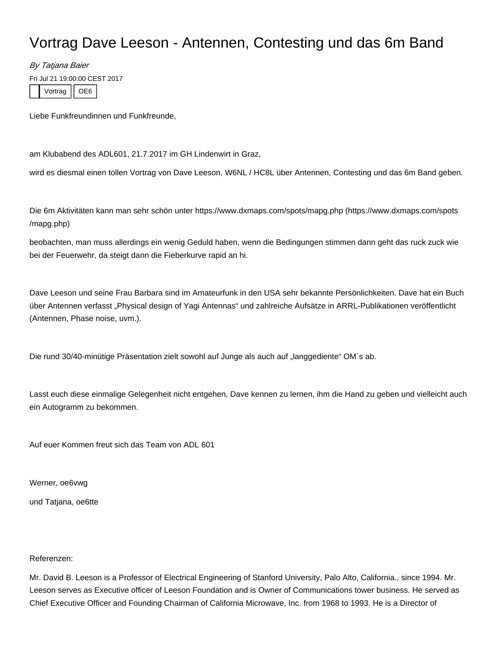## Vortrag Dave Leeson - Antennen, Contesting und das 6m Band

By Tatjana Baier

Fri Jul 21 19:00:00 CEST 2017

Vortrag | OE6

Liebe Funkfreundinnen und Funkfreunde,

am Klubabend des ADL601, 21.7.2017 im GH Lindenwirt in Graz,

wird es diesmal einen tollen Vortrag von Dave Leeson, W6NL / HC8L über Antennen, Contesting und das 6m Band geben.

Die 6m Aktivitäten kann man sehr schön unter [https://www.dxmaps.com/spots/mapg.php \(https://www.dxmaps.com/spots](https://www.dxmaps.com/spots/mapg.php) [/mapg.php\)](https://www.dxmaps.com/spots/mapg.php)

beobachten, man muss allerdings ein wenig Geduld haben, wenn die Bedingungen stimmen dann geht das ruck zuck wie bei der Feuerwehr, da steigt dann die Fieberkurve rapid an hi.

Dave Leeson und seine Frau Barbara sind im Amateurfunk in den USA sehr bekannte Persönlichkeiten. Dave hat ein Buch über Antennen verfasst "Physical design of Yagi Antennas" und zahlreiche Aufsätze in ARRL-Publikationen veröffentlicht (Antennen, Phase noise, uvm.).

Die rund 30/40-minütige Präsentation zielt sowohl auf Junge als auch auf "langgediente" OM`s ab.

Lasst euch diese einmalige Gelegenheit nicht entgehen, Dave kennen zu lernen, ihm die Hand zu geben und vielleicht auch ein Autogramm zu bekommen.

Auf euer Kommen freut sich das Team von ADL 601

Werner, oe6vwg

und Tatjana, oe6tte

## Referenzen:

Mr. David B. Leeson is a Professor of Electrical Engineering of Stanford University, Palo Alto, California., since 1994. Mr. Leeson serves as Executive officer of Leeson Foundation and is Owner of Communications tower business. He served as Chief Executive Officer and Founding Chairman of California Microwave, Inc. from 1968 to 1993. He is a Director of